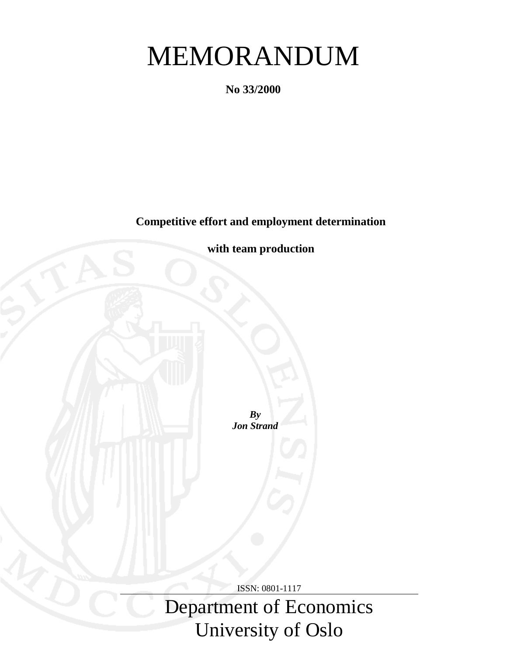# MEMORANDUM

**No 33/2000**

**Competitive effort and employment determination**



Department of Economics University of Oslo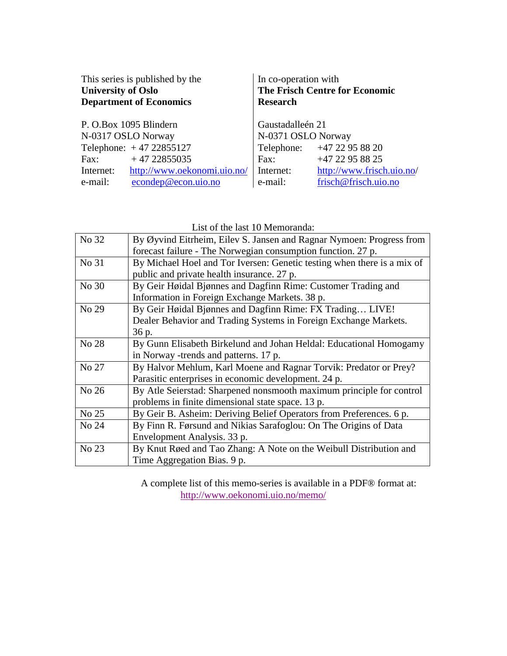| This series is published by the<br><b>University of Oslo</b><br><b>Department of Economics</b> | In co-operation with<br><b>Research</b> | <b>The Frisch Centre for Economic</b> |
|------------------------------------------------------------------------------------------------|-----------------------------------------|---------------------------------------|
| P. O.Box 1095 Blindern                                                                         | Gaustadalleén 21                        |                                       |
| N-0317 OSLO Norway                                                                             | N-0371 OSLO Norway                      |                                       |
| Telephone: $+4722855127$                                                                       |                                         | Telephone: +47 22 95 88 20            |
| $+4722855035$<br>Fax:                                                                          | Fax:                                    | +47 22 95 88 25                       |
| http://www.oekonomi.uio.no/<br>Internet:                                                       | Internet:                               | http://www.frisch.uio.no/             |
| econdep@econ.uio.no<br>e-mail:                                                                 | e-mail:                                 | frisch@frisch.uio.no                  |

List of the last 10 Memoranda:

| No 32 | By Øyvind Eitrheim, Eilev S. Jansen and Ragnar Nymoen: Progress from    |
|-------|-------------------------------------------------------------------------|
|       | forecast failure - The Norwegian consumption function. 27 p.            |
| No 31 | By Michael Hoel and Tor Iversen: Genetic testing when there is a mix of |
|       | public and private health insurance. 27 p.                              |
| No 30 | By Geir Høidal Bjønnes and Dagfinn Rime: Customer Trading and           |
|       | Information in Foreign Exchange Markets. 38 p.                          |
| No 29 | By Geir Høidal Bjønnes and Dagfinn Rime: FX Trading LIVE!               |
|       | Dealer Behavior and Trading Systems in Foreign Exchange Markets.        |
|       | 36 p.                                                                   |
| No 28 | By Gunn Elisabeth Birkelund and Johan Heldal: Educational Homogamy      |
|       | in Norway -trends and patterns. 17 p.                                   |
| No 27 | By Halvor Mehlum, Karl Moene and Ragnar Torvik: Predator or Prey?       |
|       | Parasitic enterprises in economic development. 24 p.                    |
| No 26 | By Atle Seierstad: Sharpened nonsmooth maximum principle for control    |
|       | problems in finite dimensional state space. 13 p.                       |
| No 25 | By Geir B. Asheim: Deriving Belief Operators from Preferences. 6 p.     |
| No 24 | By Finn R. Førsund and Nikias Sarafoglou: On The Origins of Data        |
|       | Envelopment Analysis. 33 p.                                             |
| No 23 | By Knut Røed and Tao Zhang: A Note on the Weibull Distribution and      |
|       | Time Aggregation Bias. 9 p.                                             |

A complete list of this memo-series is available in a PDF® format at: http://www.oekonomi.uio.no/memo/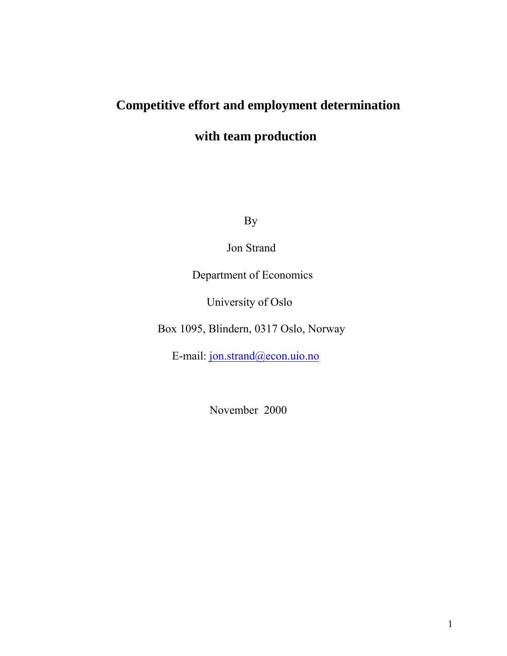# **Competitive effort and employment determination**

# **with team production**

By

Jon Strand

Department of Economics

University of Oslo

Box 1095, Blindern, 0317 Oslo, Norway

E-mail: jon.strand@econ.uio.no

November 2000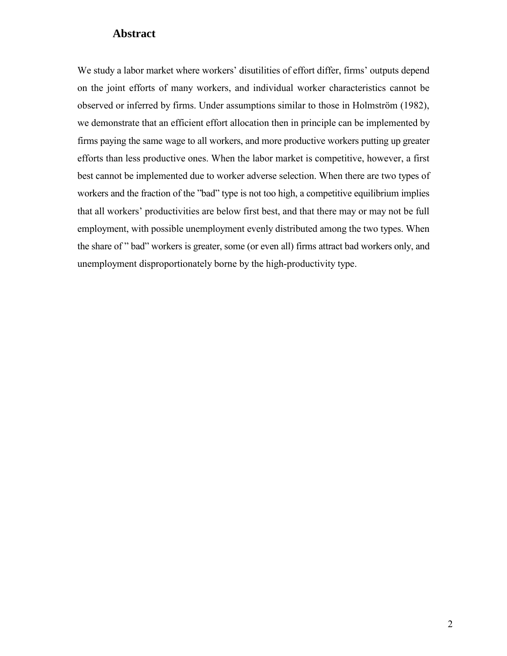## **Abstract**

We study a labor market where workers' disutilities of effort differ, firms' outputs depend on the joint efforts of many workers, and individual worker characteristics cannot be observed or inferred by firms. Under assumptions similar to those in Holmström (1982), we demonstrate that an efficient effort allocation then in principle can be implemented by firms paying the same wage to all workers, and more productive workers putting up greater efforts than less productive ones. When the labor market is competitive, however, a first best cannot be implemented due to worker adverse selection. When there are two types of workers and the fraction of the "bad" type is not too high, a competitive equilibrium implies that all workers' productivities are below first best, and that there may or may not be full employment, with possible unemployment evenly distributed among the two types. When the share of "bad" workers is greater, some (or even all) firms attract bad workers only, and unemployment disproportionately borne by the high-productivity type.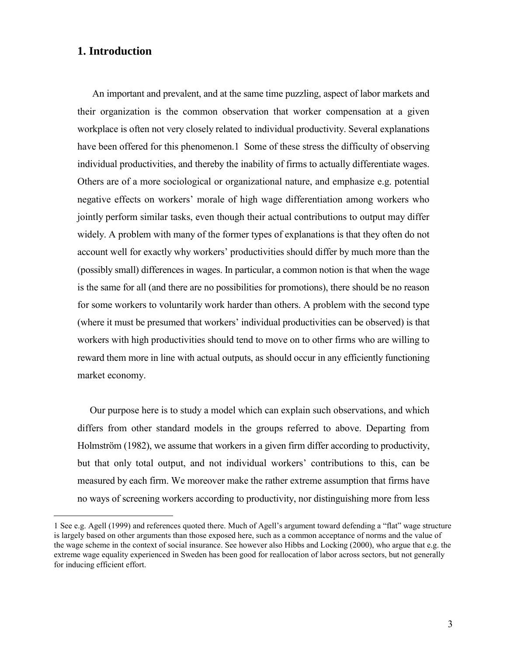#### **1. Introduction**

1

 An important and prevalent, and at the same time puzzling, aspect of labor markets and their organization is the common observation that worker compensation at a given workplace is often not very closely related to individual productivity. Several explanations have been offered for this phenomenon.1 Some of these stress the difficulty of observing individual productivities, and thereby the inability of firms to actually differentiate wages. Others are of a more sociological or organizational nature, and emphasize e.g. potential negative effects on workers' morale of high wage differentiation among workers who jointly perform similar tasks, even though their actual contributions to output may differ widely. A problem with many of the former types of explanations is that they often do not account well for exactly why workers' productivities should differ by much more than the (possibly small) differences in wages. In particular, a common notion is that when the wage is the same for all (and there are no possibilities for promotions), there should be no reason for some workers to voluntarily work harder than others. A problem with the second type (where it must be presumed that workers' individual productivities can be observed) is that workers with high productivities should tend to move on to other firms who are willing to reward them more in line with actual outputs, as should occur in any efficiently functioning market economy.

 Our purpose here is to study a model which can explain such observations, and which differs from other standard models in the groups referred to above. Departing from Holmström (1982), we assume that workers in a given firm differ according to productivity, but that only total output, and not individual workers' contributions to this, can be measured by each firm. We moreover make the rather extreme assumption that firms have no ways of screening workers according to productivity, nor distinguishing more from less

<sup>1</sup> See e.g. Agell (1999) and references quoted there. Much of Agell's argument toward defending a "flat" wage structure is largely based on other arguments than those exposed here, such as a common acceptance of norms and the value of the wage scheme in the context of social insurance. See however also Hibbs and Locking (2000), who argue that e.g. the extreme wage equality experienced in Sweden has been good for reallocation of labor across sectors, but not generally for inducing efficient effort.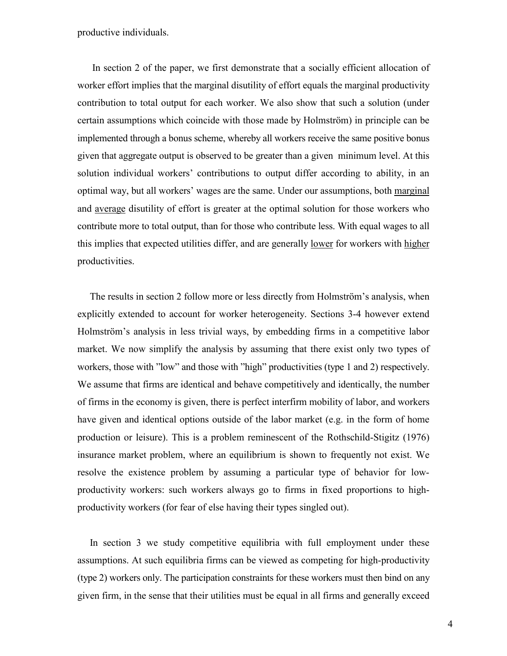productive individuals.

 In section 2 of the paper, we first demonstrate that a socially efficient allocation of worker effort implies that the marginal disutility of effort equals the marginal productivity contribution to total output for each worker. We also show that such a solution (under certain assumptions which coincide with those made by Holmström) in principle can be implemented through a bonus scheme, whereby all workers receive the same positive bonus given that aggregate output is observed to be greater than a given minimum level. At this solution individual workers' contributions to output differ according to ability, in an optimal way, but all workers' wages are the same. Under our assumptions, both marginal and average disutility of effort is greater at the optimal solution for those workers who contribute more to total output, than for those who contribute less. With equal wages to all this implies that expected utilities differ, and are generally lower for workers with higher productivities.

The results in section 2 follow more or less directly from Holmström's analysis, when explicitly extended to account for worker heterogeneity. Sections 3-4 however extend Holmström's analysis in less trivial ways, by embedding firms in a competitive labor market. We now simplify the analysis by assuming that there exist only two types of workers, those with "low" and those with "high" productivities (type 1 and 2) respectively. We assume that firms are identical and behave competitively and identically, the number of firms in the economy is given, there is perfect interfirm mobility of labor, and workers have given and identical options outside of the labor market (e.g. in the form of home production or leisure). This is a problem reminescent of the Rothschild-Stigitz (1976) insurance market problem, where an equilibrium is shown to frequently not exist. We resolve the existence problem by assuming a particular type of behavior for lowproductivity workers: such workers always go to firms in fixed proportions to highproductivity workers (for fear of else having their types singled out).

 In section 3 we study competitive equilibria with full employment under these assumptions. At such equilibria firms can be viewed as competing for high-productivity (type 2) workers only. The participation constraints for these workers must then bind on any given firm, in the sense that their utilities must be equal in all firms and generally exceed

4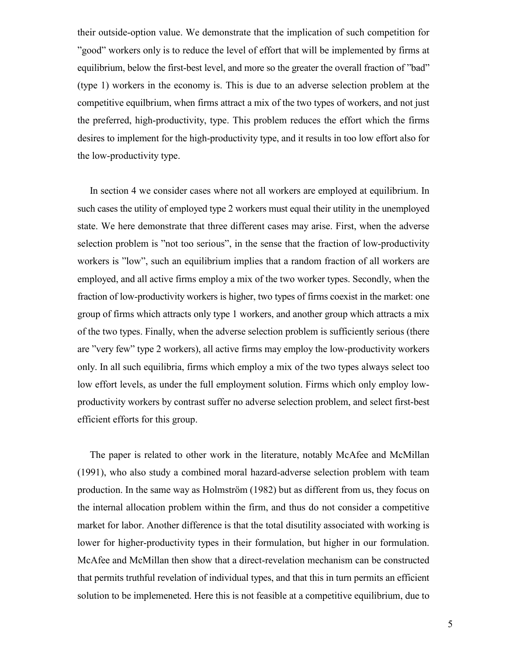their outside-option value. We demonstrate that the implication of such competition for îgoodî workers only is to reduce the level of effort that will be implemented by firms at equilibrium, below the first-best level, and more so the greater the overall fraction of "bad" (type 1) workers in the economy is. This is due to an adverse selection problem at the competitive equilbrium, when firms attract a mix of the two types of workers, and not just the preferred, high-productivity, type. This problem reduces the effort which the firms desires to implement for the high-productivity type, and it results in too low effort also for the low-productivity type.

 In section 4 we consider cases where not all workers are employed at equilibrium. In such cases the utility of employed type 2 workers must equal their utility in the unemployed state. We here demonstrate that three different cases may arise. First, when the adverse selection problem is "not too serious", in the sense that the fraction of low-productivity workers is "low", such an equilibrium implies that a random fraction of all workers are employed, and all active firms employ a mix of the two worker types. Secondly, when the fraction of low-productivity workers is higher, two types of firms coexist in the market: one group of firms which attracts only type 1 workers, and another group which attracts a mix of the two types. Finally, when the adverse selection problem is sufficiently serious (there are îvery fewî type 2 workers), all active firms may employ the low-productivity workers only. In all such equilibria, firms which employ a mix of the two types always select too low effort levels, as under the full employment solution. Firms which only employ lowproductivity workers by contrast suffer no adverse selection problem, and select first-best efficient efforts for this group.

 The paper is related to other work in the literature, notably McAfee and McMillan (1991), who also study a combined moral hazard-adverse selection problem with team production. In the same way as Holmström (1982) but as different from us, they focus on the internal allocation problem within the firm, and thus do not consider a competitive market for labor. Another difference is that the total disutility associated with working is lower for higher-productivity types in their formulation, but higher in our formulation. McAfee and McMillan then show that a direct-revelation mechanism can be constructed that permits truthful revelation of individual types, and that this in turn permits an efficient solution to be implemeneted. Here this is not feasible at a competitive equilibrium, due to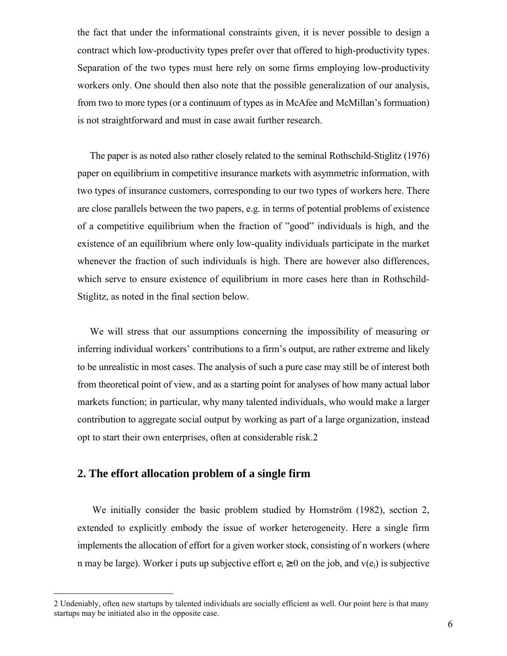the fact that under the informational constraints given, it is never possible to design a contract which low-productivity types prefer over that offered to high-productivity types. Separation of the two types must here rely on some firms employing low-productivity workers only. One should then also note that the possible generalization of our analysis, from two to more types (or a continuum of types as in McAfee and McMillan's formuation) is not straightforward and must in case await further research.

 The paper is as noted also rather closely related to the seminal Rothschild-Stiglitz (1976) paper on equilibrium in competitive insurance markets with asymmetric information, with two types of insurance customers, corresponding to our two types of workers here. There are close parallels between the two papers, e.g. in terms of potential problems of existence of a competitive equilibrium when the fraction of "good" individuals is high, and the existence of an equilibrium where only low-quality individuals participate in the market whenever the fraction of such individuals is high. There are however also differences, which serve to ensure existence of equilibrium in more cases here than in Rothschild-Stiglitz, as noted in the final section below.

 We will stress that our assumptions concerning the impossibility of measuring or inferring individual workers' contributions to a firm's output, are rather extreme and likely to be unrealistic in most cases. The analysis of such a pure case may still be of interest both from theoretical point of view, and as a starting point for analyses of how many actual labor markets function; in particular, why many talented individuals, who would make a larger contribution to aggregate social output by working as part of a large organization, instead opt to start their own enterprises, often at considerable risk.2

#### **2. The effort allocation problem of a single firm**

1

We initially consider the basic problem studied by Homström  $(1982)$ , section 2, extended to explicitly embody the issue of worker heterogeneity. Here a single firm implements the allocation of effort for a given worker stock, consisting of n workers (where n may be large). Worker i puts up subjective effort  $e_i \ge 0$  on the job, and  $v(e_i)$  is subjective

<sup>2</sup> Undeniably, often new startups by talented individuals are socially efficient as well. Our point here is that many startups may be initiated also in the opposite case.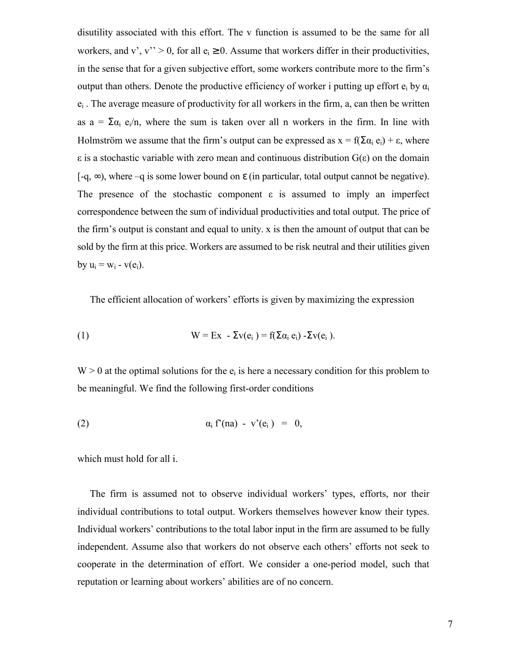disutility associated with this effort. The v function is assumed to be the same for all workers, and v', v'' > 0, for all  $e_i \ge 0$ . Assume that workers differ in their productivities, in the sense that for a given subjective effort, some workers contribute more to the firm's output than others. Denote the productive efficiency of worker i putting up effort  $e_i$  by  $\alpha_i$  $e_i$ . The average measure of productivity for all workers in the firm, a, can then be written as  $a = \sum_{i=1}^{\infty} a_i e_i/n$ , where the sum is taken over all n workers in the firm. In line with Holmström we assume that the firm's output can be expressed as  $x = f(\Sigma \alpha_i e_i) + \varepsilon$ , where ε is a stochastic variable with zero mean and continuous distribution G(ε) on the domain [-q,  $\infty$ ), where -q is some lower bound on  $\varepsilon$  (in particular, total output cannot be negative). The presence of the stochastic component  $\varepsilon$  is assumed to imply an imperfect correspondence between the sum of individual productivities and total output. The price of the firm's output is constant and equal to unity. x is then the amount of output that can be sold by the firm at this price. Workers are assumed to be risk neutral and their utilities given by  $u_i = w_i - v(e_i)$ .

The efficient allocation of workers' efforts is given by maximizing the expression

(1) 
$$
W = Ex - \Sigma v(e_i) = f(\Sigma \alpha_i e_i) - \Sigma v(e_i).
$$

 $W > 0$  at the optimal solutions for the  $e_i$  is here a necessary condition for this problem to be meaningful. We find the following first-order conditions

$$
\alpha_i f'(na) - v'(e_i) = 0,
$$

which must hold for all i.

The firm is assumed not to observe individual workers' types, efforts, nor their individual contributions to total output. Workers themselves however know their types. Individual workers' contributions to the total labor input in the firm are assumed to be fully independent. Assume also that workers do not observe each others' efforts not seek to cooperate in the determination of effort. We consider a one-period model, such that reputation or learning about workers' abilities are of no concern.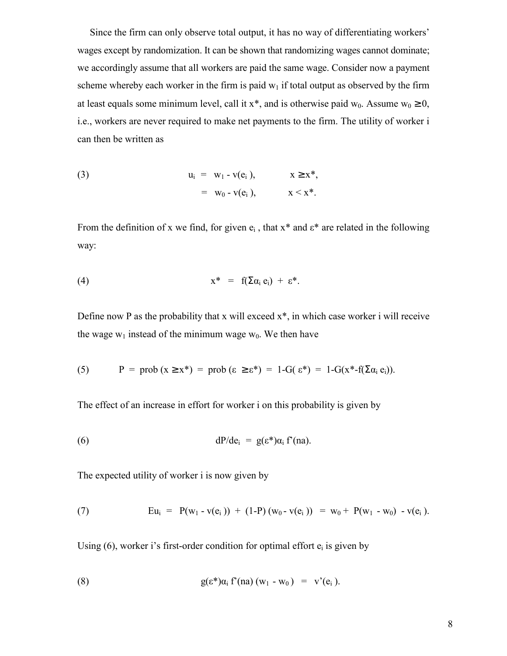Since the firm can only observe total output, it has no way of differentiating workers' wages except by randomization. It can be shown that randomizing wages cannot dominate; we accordingly assume that all workers are paid the same wage. Consider now a payment scheme whereby each worker in the firm is paid  $w_1$  if total output as observed by the firm at least equals some minimum level, call it x<sup>\*</sup>, and is otherwise paid w<sub>0</sub>. Assume w<sub>0</sub>  $\geq$  0, i.e., workers are never required to make net payments to the firm. The utility of worker i can then be written as

(3) 
$$
u_i = w_1 - v(e_i), \t x \ge x^*,
$$
  
 $= w_0 - v(e_i), \t x \le x^*.$ 

From the definition of x we find, for given  $e_i$ , that  $x^*$  and  $\varepsilon^*$  are related in the following way:

$$
x^* = f(\Sigma \alpha_i e_i) + \varepsilon^*.
$$

Define now P as the probability that x will exceed  $x^*$ , in which case worker i will receive the wage  $w_1$  instead of the minimum wage  $w_0$ . We then have

(5) 
$$
P = prob(x \ge x^*) = prob(\epsilon \ge \epsilon^*) = 1 - G(\epsilon^*) = 1 - G(x^* - f(\Sigma \alpha_i e_i)).
$$

The effect of an increase in effort for worker i on this probability is given by

(6) 
$$
dP/de_i = g(\epsilon^*)\alpha_i f'(na).
$$

The expected utility of worker i is now given by

(7) 
$$
Eu_i = P(w_1 - v(e_i)) + (1-P)(w_0 - v(e_i)) = w_0 + P(w_1 - w_0) - v(e_i).
$$

Using  $(6)$ , worker i's first-order condition for optimal effort  $e_i$  is given by

(8) 
$$
g(\varepsilon^*)\alpha_i f'(na)(w_1 - w_0) = v'(e_i).
$$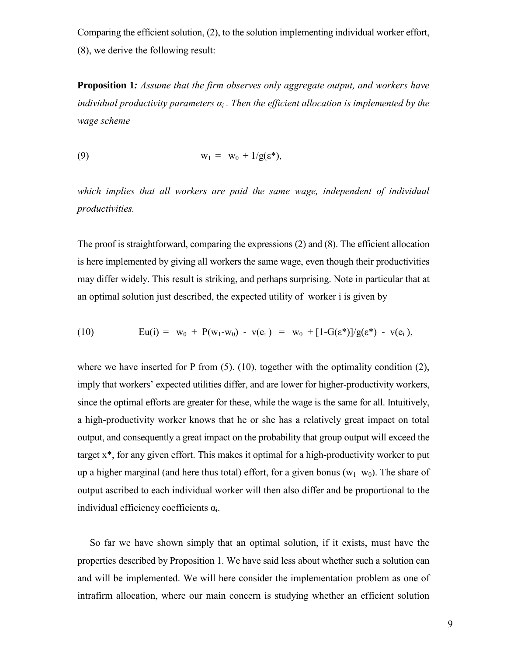Comparing the efficient solution, (2), to the solution implementing individual worker effort, (8), we derive the following result:

**Proposition 1***: Assume that the firm observes only aggregate output, and workers have individual productivity parameters αi . Then the efficient allocation is implemented by the wage scheme*

$$
w_1 = w_0 + 1/g(\epsilon^*),
$$

*which implies that all workers are paid the same wage, independent of individual productivities.*

The proof is straightforward, comparing the expressions (2) and (8). The efficient allocation is here implemented by giving all workers the same wage, even though their productivities may differ widely. This result is striking, and perhaps surprising. Note in particular that at an optimal solution just described, the expected utility of worker i is given by

(10) 
$$
Eu(i) = w_0 + P(w_1-w_0) - v(e_i) = w_0 + [1-G(\varepsilon^*)]/g(\varepsilon^*) - v(e_i),
$$

where we have inserted for P from  $(5)$ .  $(10)$ , together with the optimality condition  $(2)$ , imply that workers' expected utilities differ, and are lower for higher-productivity workers, since the optimal efforts are greater for these, while the wage is the same for all. Intuitively, a high-productivity worker knows that he or she has a relatively great impact on total output, and consequently a great impact on the probability that group output will exceed the target x\*, for any given effort. This makes it optimal for a high-productivity worker to put up a higher marginal (and here thus total) effort, for a given bonus ( $w_1-w_0$ ). The share of output ascribed to each individual worker will then also differ and be proportional to the individual efficiency coefficients  $\alpha_i$ .

 So far we have shown simply that an optimal solution, if it exists, must have the properties described by Proposition 1. We have said less about whether such a solution can and will be implemented. We will here consider the implementation problem as one of intrafirm allocation, where our main concern is studying whether an efficient solution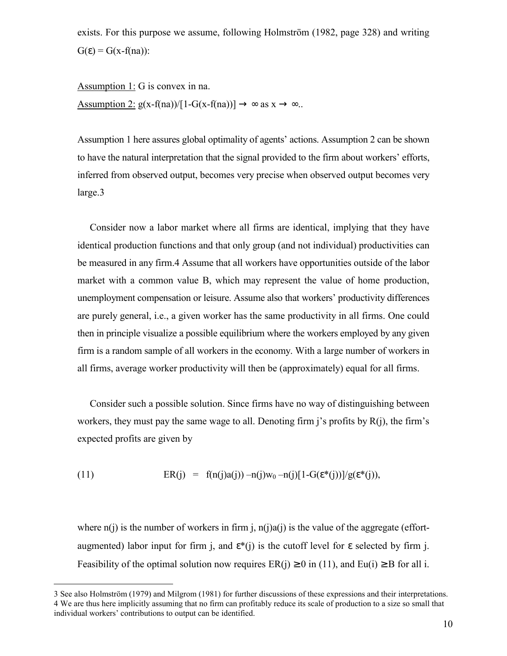exists. For this purpose we assume, following Holmström  $(1982, page 328)$  and writing  $G(\epsilon) = G(x-f(n\alpha))$ :

Assumption 1: G is convex in na. Assumption 2:  $g(x-f(na))/[1-G(x-f(na))] \rightarrow \infty$  as  $x \rightarrow \infty$ ..

Assumption 1 here assures global optimality of agents' actions. Assumption 2 can be shown to have the natural interpretation that the signal provided to the firm about workers' efforts, inferred from observed output, becomes very precise when observed output becomes very large.3

 Consider now a labor market where all firms are identical, implying that they have identical production functions and that only group (and not individual) productivities can be measured in any firm.4 Assume that all workers have opportunities outside of the labor market with a common value B, which may represent the value of home production, unemployment compensation or leisure. Assume also that workersí productivity differences are purely general, i.e., a given worker has the same productivity in all firms. One could then in principle visualize a possible equilibrium where the workers employed by any given firm is a random sample of all workers in the economy. With a large number of workers in all firms, average worker productivity will then be (approximately) equal for all firms.

 Consider such a possible solution. Since firms have no way of distinguishing between workers, they must pay the same wage to all. Denoting firm  $\mathbf{i}'s$  profits by  $\mathbf{R}(\mathbf{i})$ , the firm's expected profits are given by

(11) 
$$
ER(j) = f(n(j)a(j)) - n(j)w_0 - n(j)[1 - G(\varepsilon^*(j))] / g(\varepsilon^*(j)),
$$

<u>.</u>

where  $n(i)$  is the number of workers in firm j,  $n(i)a(i)$  is the value of the aggregate (effortaugmented) labor input for firm j, and  $\varepsilon^*(j)$  is the cutoff level for  $\varepsilon$  selected by firm j. Feasibility of the optimal solution now requires  $ER(i) \ge 0$  in (11), and  $Eu(i) \ge B$  for all i.

<sup>3</sup> See also Holmström (1979) and Milgrom (1981) for further discussions of these expressions and their interpretations. 4 We are thus here implicitly assuming that no firm can profitably reduce its scale of production to a size so small that individual workers' contributions to output can be identified.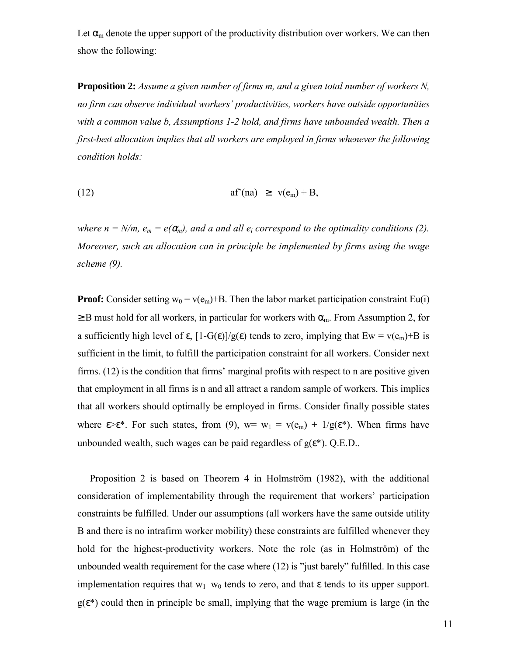Let  $\alpha_m$  denote the upper support of the productivity distribution over workers. We can then show the following:

**Proposition 2:** *Assume a given number of firms m, and a given total number of workers N, no firm can observe individual workersí productivities, workers have outside opportunities with a common value b, Assumptions 1-2 hold, and firms have unbounded wealth. Then a first-best allocation implies that all workers are employed in firms whenever the following condition holds:*

$$
(12) \t af(na) \geq v(e_m) + B,
$$

*where n = N/m,*  $e_m = e(\alpha_m)$ *, and a and all*  $e_i$  *correspond to the optimality conditions (2). Moreover, such an allocation can in principle be implemented by firms using the wage scheme (9).*

**Proof:** Consider setting  $w_0 = v(e_m) + B$ . Then the labor market participation constraint Eu(i)  $\geq$  B must hold for all workers, in particular for workers with  $\alpha$ <sub>m</sub>. From Assumption 2, for a sufficiently high level of  $\varepsilon$ ,  $[1-G(\varepsilon)]/g(\varepsilon)$  tends to zero, implying that  $Ew = v(e_m) + B$  is sufficient in the limit, to fulfill the participation constraint for all workers. Consider next firms.  $(12)$  is the condition that firms' marginal profits with respect to n are positive given that employment in all firms is n and all attract a random sample of workers. This implies that all workers should optimally be employed in firms. Consider finally possible states where  $\epsilon > \epsilon^*$ . For such states, from (9), w= w<sub>1</sub> = v(e<sub>m</sub>) + 1/g( $\epsilon^*$ ). When firms have unbounded wealth, such wages can be paid regardless of  $g(\varepsilon^*)$ . Q.E.D..

Proposition 2 is based on Theorem 4 in Holmström (1982), with the additional consideration of implementability through the requirement that workers' participation constraints be fulfilled. Under our assumptions (all workers have the same outside utility B and there is no intrafirm worker mobility) these constraints are fulfilled whenever they hold for the highest-productivity workers. Note the role (as in Holmström) of the unbounded wealth requirement for the case where  $(12)$  is "just barely" fulfilled. In this case implementation requires that  $w_1-w_0$  tends to zero, and that  $\varepsilon$  tends to its upper support.  $g(\varepsilon^*)$  could then in principle be small, implying that the wage premium is large (in the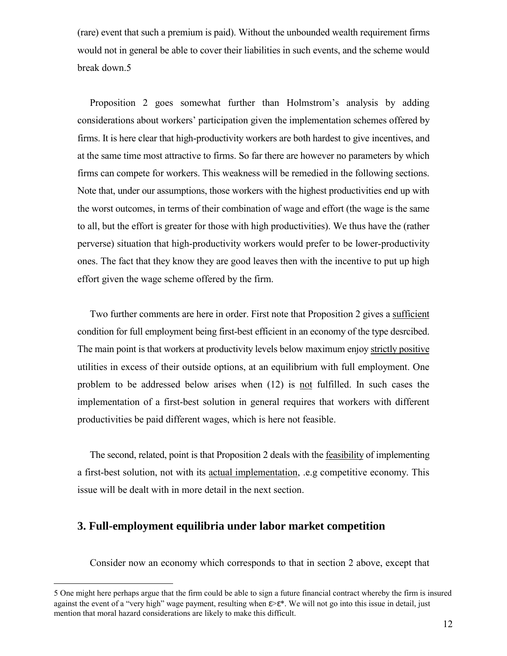(rare) event that such a premium is paid). Without the unbounded wealth requirement firms would not in general be able to cover their liabilities in such events, and the scheme would break down.5

Proposition 2 goes somewhat further than Holmstrom's analysis by adding considerations about workers' participation given the implementation schemes offered by firms. It is here clear that high-productivity workers are both hardest to give incentives, and at the same time most attractive to firms. So far there are however no parameters by which firms can compete for workers. This weakness will be remedied in the following sections. Note that, under our assumptions, those workers with the highest productivities end up with the worst outcomes, in terms of their combination of wage and effort (the wage is the same to all, but the effort is greater for those with high productivities). We thus have the (rather perverse) situation that high-productivity workers would prefer to be lower-productivity ones. The fact that they know they are good leaves then with the incentive to put up high effort given the wage scheme offered by the firm.

Two further comments are here in order. First note that Proposition 2 gives a sufficient condition for full employment being first-best efficient in an economy of the type desrcibed. The main point is that workers at productivity levels below maximum enjoy strictly positive utilities in excess of their outside options, at an equilibrium with full employment. One problem to be addressed below arises when (12) is not fulfilled. In such cases the implementation of a first-best solution in general requires that workers with different productivities be paid different wages, which is here not feasible.

 The second, related, point is that Proposition 2 deals with the feasibility of implementing a first-best solution, not with its actual implementation, .e.g competitive economy. This issue will be dealt with in more detail in the next section.

#### **3. Full-employment equilibria under labor market competition**

1

Consider now an economy which corresponds to that in section 2 above, except that

<sup>5</sup> One might here perhaps argue that the firm could be able to sign a future financial contract whereby the firm is insured against the event of a "very high" wage payment, resulting when  $\epsilon > \epsilon^*$ . We will not go into this issue in detail, just mention that moral hazard considerations are likely to make this difficult.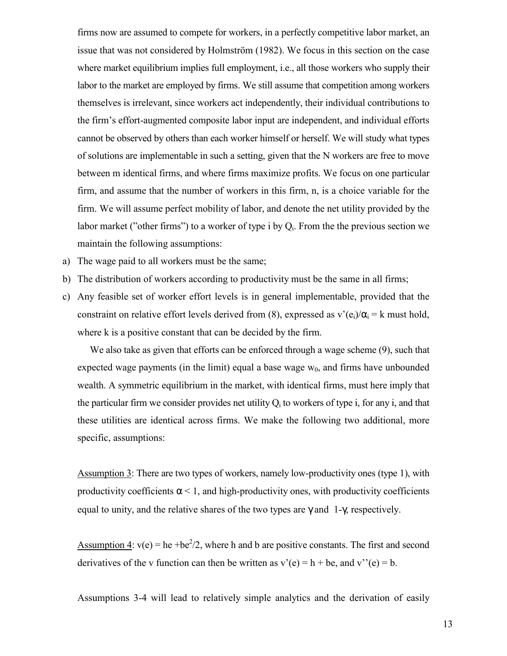firms now are assumed to compete for workers, in a perfectly competitive labor market, an issue that was not considered by Holmström (1982). We focus in this section on the case where market equilibrium implies full employment, i.e., all those workers who supply their labor to the market are employed by firms. We still assume that competition among workers themselves is irrelevant, since workers act independently, their individual contributions to the firmís effort-augmented composite labor input are independent, and individual efforts cannot be observed by others than each worker himself or herself. We will study what types of solutions are implementable in such a setting, given that the N workers are free to move between m identical firms, and where firms maximize profits. We focus on one particular firm, and assume that the number of workers in this firm, n, is a choice variable for the firm. We will assume perfect mobility of labor, and denote the net utility provided by the labor market ("other firms") to a worker of type i by  $Q_i$ . From the the previous section we maintain the following assumptions:

- a) The wage paid to all workers must be the same;
- b) The distribution of workers according to productivity must be the same in all firms;
- c) Any feasible set of worker effort levels is in general implementable, provided that the constraint on relative effort levels derived from (8), expressed as  $v'(e_i)/\alpha_i = k$  must hold, where k is a positive constant that can be decided by the firm.

 We also take as given that efforts can be enforced through a wage scheme (9), such that expected wage payments (in the limit) equal a base wage  $w_0$ , and firms have unbounded wealth. A symmetric equilibrium in the market, with identical firms, must here imply that the particular firm we consider provides net utility  $Q_i$  to workers of type i, for any i, and that these utilities are identical across firms. We make the following two additional, more specific, assumptions:

Assumption 3: There are two types of workers, namely low-productivity ones (type 1), with productivity coefficients  $\alpha$  < 1, and high-productivity ones, with productivity coefficients equal to unity, and the relative shares of the two types are  $\gamma$  and 1- $\gamma$ , respectively.

Assumption 4:  $v(e) = he + be^2/2$ , where h and b are positive constants. The first and second derivatives of the v function can then be written as  $v'(e) = h + be$ , and  $v''(e) = b$ .

Assumptions 3-4 will lead to relatively simple analytics and the derivation of easily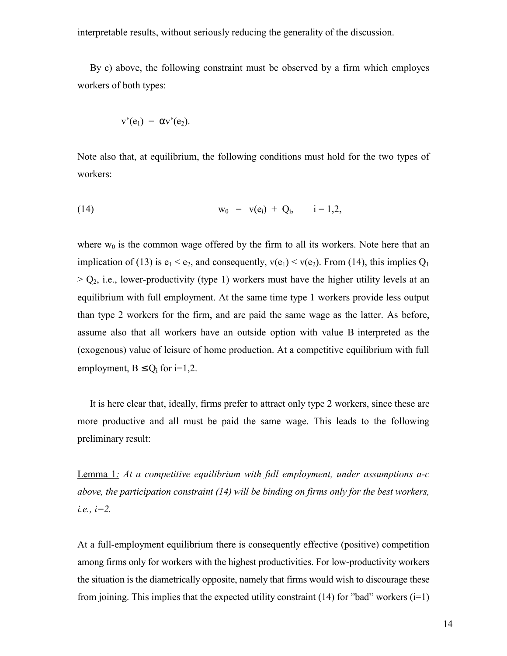interpretable results, without seriously reducing the generality of the discussion.

 By c) above, the following constraint must be observed by a firm which employes workers of both types:

$$
v'(e_1) = \alpha v'(e_2).
$$

Note also that, at equilibrium, the following conditions must hold for the two types of workers:

(14) 
$$
w_0 = v(e_i) + Q_i
$$
,  $i = 1,2$ ,

where  $w_0$  is the common wage offered by the firm to all its workers. Note here that an implication of (13) is  $e_1 < e_2$ , and consequently,  $v(e_1) < v(e_2)$ . From (14), this implies  $Q_1$  $> Q_2$ , i.e., lower-productivity (type 1) workers must have the higher utility levels at an equilibrium with full employment. At the same time type 1 workers provide less output than type 2 workers for the firm, and are paid the same wage as the latter. As before, assume also that all workers have an outside option with value B interpreted as the (exogenous) value of leisure of home production. At a competitive equilibrium with full employment,  $B \le Q_i$  for i=1,2.

 It is here clear that, ideally, firms prefer to attract only type 2 workers, since these are more productive and all must be paid the same wage. This leads to the following preliminary result:

Lemma 1*: At a competitive equilibrium with full employment, under assumptions a-c above, the participation constraint (14) will be binding on firms only for the best workers, i.e., i=2.*

At a full-employment equilibrium there is consequently effective (positive) competition among firms only for workers with the highest productivities. For low-productivity workers the situation is the diametrically opposite, namely that firms would wish to discourage these from joining. This implies that the expected utility constraint (14) for "bad" workers ( $i=1$ )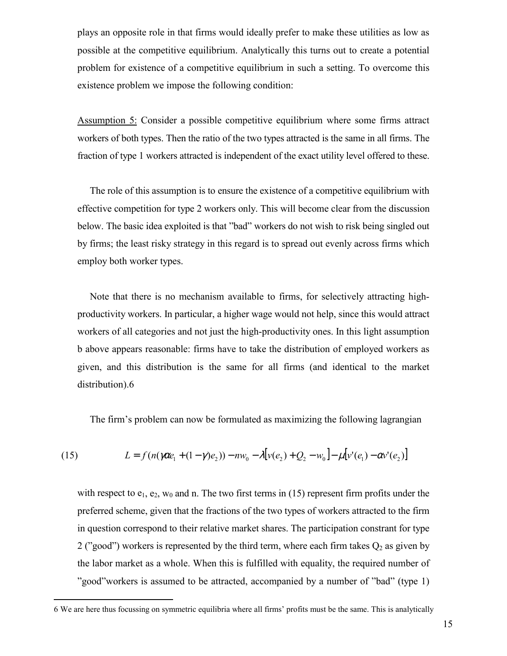plays an opposite role in that firms would ideally prefer to make these utilities as low as possible at the competitive equilibrium. Analytically this turns out to create a potential problem for existence of a competitive equilibrium in such a setting. To overcome this existence problem we impose the following condition:

Assumption 5: Consider a possible competitive equilibrium where some firms attract workers of both types. Then the ratio of the two types attracted is the same in all firms. The fraction of type 1 workers attracted is independent of the exact utility level offered to these.

 The role of this assumption is to ensure the existence of a competitive equilibrium with effective competition for type 2 workers only. This will become clear from the discussion below. The basic idea exploited is that "bad" workers do not wish to risk being singled out by firms; the least risky strategy in this regard is to spread out evenly across firms which employ both worker types.

 Note that there is no mechanism available to firms, for selectively attracting highproductivity workers. In particular, a higher wage would not help, since this would attract workers of all categories and not just the high-productivity ones. In this light assumption b above appears reasonable: firms have to take the distribution of employed workers as given, and this distribution is the same for all firms (and identical to the market distribution).6

The firmís problem can now be formulated as maximizing the following lagrangian

(15) 
$$
L = f(n(\gamma \alpha e_1 + (1 - \gamma)e_2)) - nw_0 - \lambda [v(e_2) + Q_2 - w_0] - \mu [v'(e_1) - \alpha v'(e_2)]
$$

with respect to  $e_1, e_2, w_0$  and n. The two first terms in (15) represent firm profits under the preferred scheme, given that the fractions of the two types of workers attracted to the firm in question correspond to their relative market shares. The participation constrant for type 2 ("good") workers is represented by the third term, where each firm takes  $Q_2$  as given by the labor market as a whole. When this is fulfilled with equality, the required number of îgoodîworkers is assumed to be attracted, accompanied by a number of îbadî (type 1)

<u>.</u>

<sup>6</sup> We are here thus focussing on symmetric equilibria where all firmsí profits must be the same. This is analytically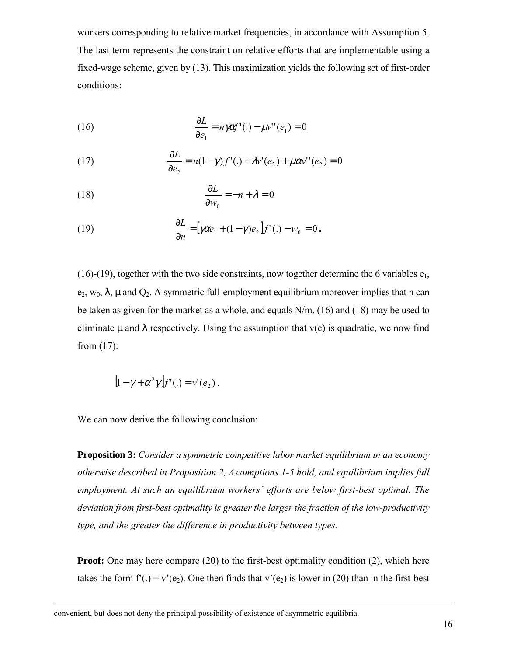workers corresponding to relative market frequencies, in accordance with Assumption 5. The last term represents the constraint on relative efforts that are implementable using a fixed-wage scheme, given by (13). This maximization yields the following set of first-order conditions:

(16) 
$$
\frac{\partial L}{\partial e_1} = n \gamma \alpha f'(\cdot) - \mu v''(e_1) = 0
$$

(17) 
$$
\frac{\partial L}{\partial e_2} = n(1-\gamma)f'(\cdot) - \lambda v'(e_2) + \mu \alpha v''(e_2) = 0
$$

(18) 
$$
\frac{\partial L}{\partial w_0} = -n + \lambda = 0
$$

(19) 
$$
\frac{\partial L}{\partial n} = \left[\gamma \alpha e_1 + (1 - \gamma) e_2 \right] f'(\cdot) - w_0 = 0.
$$

(16)-(19), together with the two side constraints, now together determine the 6 variables  $e_1$ ,  $e_2$ , w<sub>0</sub>,  $\lambda$ ,  $\mu$  and  $Q_2$ . A symmetric full-employment equilibrium moreover implies that n can be taken as given for the market as a whole, and equals N/m. (16) and (18) may be used to eliminate  $\mu$  and  $\lambda$  respectively. Using the assumption that  $v(e)$  is quadratic, we now find from (17):

$$
[1-\gamma+\alpha^2\gamma]f'(\cdot)=v'(e_2).
$$

We can now derive the following conclusion:

1

**Proposition 3:** *Consider a symmetric competitive labor market equilibrium in an economy otherwise described in Proposition 2, Assumptions 1-5 hold, and equilibrium implies full employment. At such an equilibrium workers' efforts are below first-best optimal. The deviation from first-best optimality is greater the larger the fraction of the low-productivity type, and the greater the difference in productivity between types.*

**Proof:** One may here compare (20) to the first-best optimality condition (2), which here takes the form  $f'(.) = v'(e_2)$ . One then finds that  $v'(e_2)$  is lower in (20) than in the first-best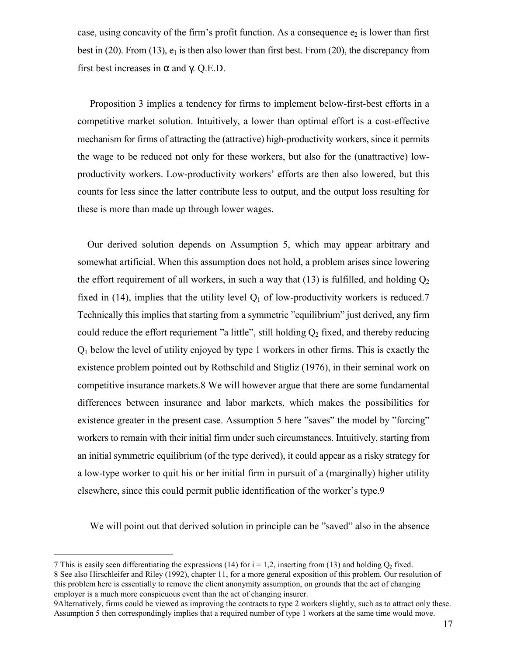case, using concavity of the firm's profit function. As a consequence  $e_2$  is lower than first best in (20). From (13),  $e_1$  is then also lower than first best. From (20), the discrepancy from first best increases in  $\alpha$  and  $\gamma$ . Q.E.D.

 Proposition 3 implies a tendency for firms to implement below-first-best efforts in a competitive market solution. Intuitively, a lower than optimal effort is a cost-effective mechanism for firms of attracting the (attractive) high-productivity workers, since it permits the wage to be reduced not only for these workers, but also for the (unattractive) lowproductivity workers. Low-productivity workersí efforts are then also lowered, but this counts for less since the latter contribute less to output, and the output loss resulting for these is more than made up through lower wages.

 Our derived solution depends on Assumption 5, which may appear arbitrary and somewhat artificial. When this assumption does not hold, a problem arises since lowering the effort requirement of all workers, in such a way that (13) is fulfilled, and holding  $Q_2$ fixed in (14), implies that the utility level  $Q_1$  of low-productivity workers is reduced.7 Technically this implies that starting from a symmetric "equilibrium" just derived, any firm could reduce the effort requriement "a little", still holding  $Q_2$  fixed, and thereby reducing Q1 below the level of utility enjoyed by type 1 workers in other firms. This is exactly the existence problem pointed out by Rothschild and Stigliz (1976), in their seminal work on competitive insurance markets.8 We will however argue that there are some fundamental differences between insurance and labor markets, which makes the possibilities for existence greater in the present case. Assumption 5 here "saves" the model by "forcing" workers to remain with their initial firm under such circumstances. Intuitively, starting from an initial symmetric equilibrium (of the type derived), it could appear as a risky strategy for a low-type worker to quit his or her initial firm in pursuit of a (marginally) higher utility elsewhere, since this could permit public identification of the worker's type.9

We will point out that derived solution in principle can be "saved" also in the absence

<u>.</u>

<sup>7</sup> This is easily seen differentiating the expressions (14) for  $i = 1.2$ , inserting from (13) and holding O<sub>2</sub> fixed. 8 See also Hirschleifer and Riley (1992), chapter 11, for a more general exposition of this problem. Our resolution of this problem here is essentially to remove the client anonymity assumption, on grounds that the act of changing employer is a much more conspicuous event than the act of changing insurer.

<sup>9</sup>Alternatively, firms could be viewed as improving the contracts to type 2 workers slightly, such as to attract only these. Assumption 5 then correspondingly implies that a required number of type 1 workers at the same time would move.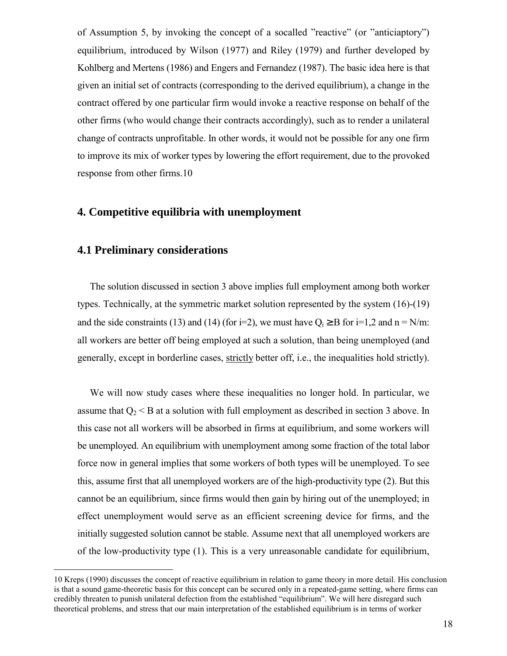of Assumption 5, by invoking the concept of a socalled "reactive" (or "anticiaptory") equilibrium, introduced by Wilson (1977) and Riley (1979) and further developed by Kohlberg and Mertens (1986) and Engers and Fernandez (1987). The basic idea here is that given an initial set of contracts (corresponding to the derived equilibrium), a change in the contract offered by one particular firm would invoke a reactive response on behalf of the other firms (who would change their contracts accordingly), such as to render a unilateral change of contracts unprofitable. In other words, it would not be possible for any one firm to improve its mix of worker types by lowering the effort requirement, due to the provoked response from other firms.10

#### **4. Competitive equilibria with unemployment**

## **4.1 Preliminary considerations**

<u>.</u>

 The solution discussed in section 3 above implies full employment among both worker types. Technically, at the symmetric market solution represented by the system (16)-(19) and the side constraints (13) and (14) (for i=2), we must have  $Q_i \geq B$  for i=1,2 and n = N/m: all workers are better off being employed at such a solution, than being unemployed (and generally, except in borderline cases, strictly better off, i.e., the inequalities hold strictly).

 We will now study cases where these inequalities no longer hold. In particular, we assume that  $Q_2 < B$  at a solution with full employment as described in section 3 above. In this case not all workers will be absorbed in firms at equilibrium, and some workers will be unemployed. An equilibrium with unemployment among some fraction of the total labor force now in general implies that some workers of both types will be unemployed. To see this, assume first that all unemployed workers are of the high-productivity type (2). But this cannot be an equilibrium, since firms would then gain by hiring out of the unemployed; in effect unemployment would serve as an efficient screening device for firms, and the initially suggested solution cannot be stable. Assume next that all unemployed workers are of the low-productivity type (1). This is a very unreasonable candidate for equilibrium,

<sup>10</sup> Kreps (1990) discusses the concept of reactive equilibrium in relation to game theory in more detail. His conclusion is that a sound game-theoretic basis for this concept can be secured only in a repeated-game setting, where firms can credibly threaten to punish unilateral defection from the established "equilibrium". We will here disregard such theoretical problems, and stress that our main interpretation of the established equilibrium is in terms of worker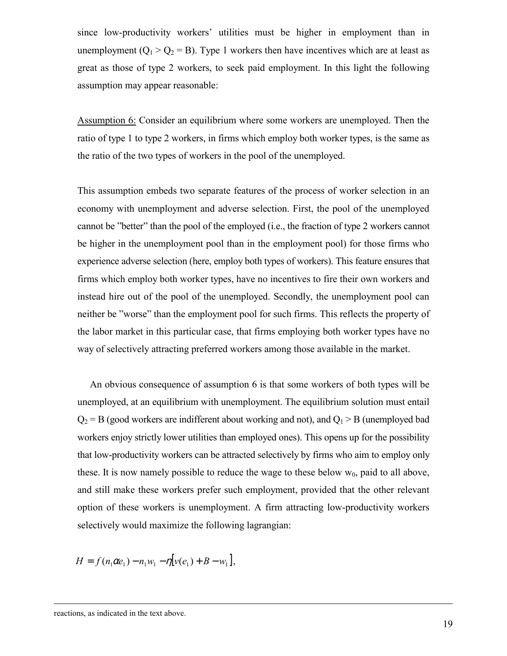since low-productivity workers' utilities must be higher in employment than in unemployment ( $Q_1 > Q_2 = B$ ). Type 1 workers then have incentives which are at least as great as those of type 2 workers, to seek paid employment. In this light the following assumption may appear reasonable:

Assumption 6: Consider an equilibrium where some workers are unemployed. Then the ratio of type 1 to type 2 workers, in firms which employ both worker types, is the same as the ratio of the two types of workers in the pool of the unemployed.

This assumption embeds two separate features of the process of worker selection in an economy with unemployment and adverse selection. First, the pool of the unemployed cannot be "better" than the pool of the employed (i.e., the fraction of type 2 workers cannot be higher in the unemployment pool than in the employment pool) for those firms who experience adverse selection (here, employ both types of workers). This feature ensures that firms which employ both worker types, have no incentives to fire their own workers and instead hire out of the pool of the unemployed. Secondly, the unemployment pool can neither be "worse" than the employment pool for such firms. This reflects the property of the labor market in this particular case, that firms employing both worker types have no way of selectively attracting preferred workers among those available in the market.

 An obvious consequence of assumption 6 is that some workers of both types will be unemployed, at an equilibrium with unemployment. The equilibrium solution must entail  $Q_2 = B$  (good workers are indifferent about working and not), and  $Q_1 > B$  (unemployed bad workers enjoy strictly lower utilities than employed ones). This opens up for the possibility that low-productivity workers can be attracted selectively by firms who aim to employ only these. It is now namely possible to reduce the wage to these below  $w_0$ , paid to all above, and still make these workers prefer such employment, provided that the other relevant option of these workers is unemployment. A firm attracting low-productivity workers selectively would maximize the following lagrangian:

 $H = f(n_1 \alpha e_1) - n_1 w_1 - \eta [v(e_1) + B - w_1],$ 

1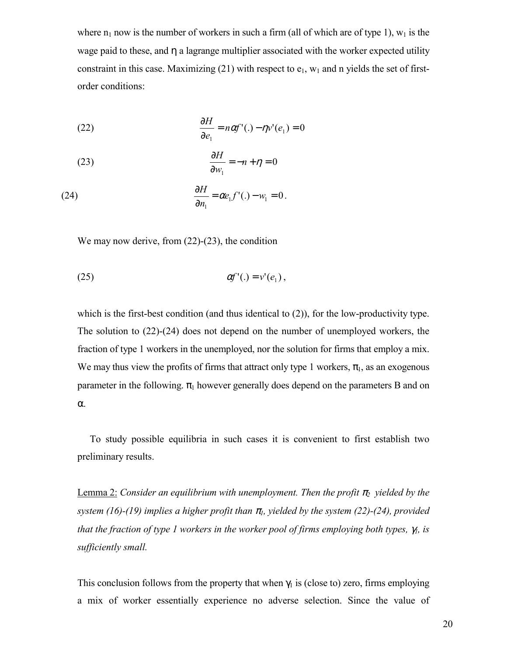where  $n_1$  now is the number of workers in such a firm (all of which are of type 1),  $w_1$  is the wage paid to these, and  $\eta$  a lagrange multiplier associated with the worker expected utility constraint in this case. Maximizing (21) with respect to  $e_1$ ,  $w_1$  and n yields the set of firstorder conditions:

(22) 
$$
\frac{\partial H}{\partial e_1} = n\alpha f'(\cdot) - \eta v'(e_1) = 0
$$

(23) 
$$
\frac{\partial H}{\partial w_1} = -n + \eta = 0
$$

(24) 
$$
\frac{\partial H}{\partial n_1} = \alpha e_1 f'(.) - w_1 = 0.
$$

We may now derive, from  $(22)$ - $(23)$ , the condition

$$
\alpha f'(t) = v'(e_1),
$$

which is the first-best condition (and thus identical to (2)), for the low-productivity type. The solution to (22)-(24) does not depend on the number of unemployed workers, the fraction of type 1 workers in the unemployed, nor the solution for firms that employ a mix. We may thus view the profits of firms that attract only type 1 workers,  $\pi_1$ , as an exogenous parameter in the following.  $\pi_1$  however generally does depend on the parameters B and on α.

 To study possible equilibria in such cases it is convenient to first establish two preliminary results.

<u>Lemma 2:</u> Consider an equilibrium with unemployment. Then the profit  $\pi_2$  yielded by the *system (16)-(19) implies a higher profit than*  $\pi$ <sub>*l</sub>, yielded by the system (22)-(24), provided*</sub> *that the fraction of type 1 workers in the worker pool of firms employing both types,* γ*1, is sufficiently small.*

This conclusion follows from the property that when  $\gamma_1$  is (close to) zero, firms employing a mix of worker essentially experience no adverse selection. Since the value of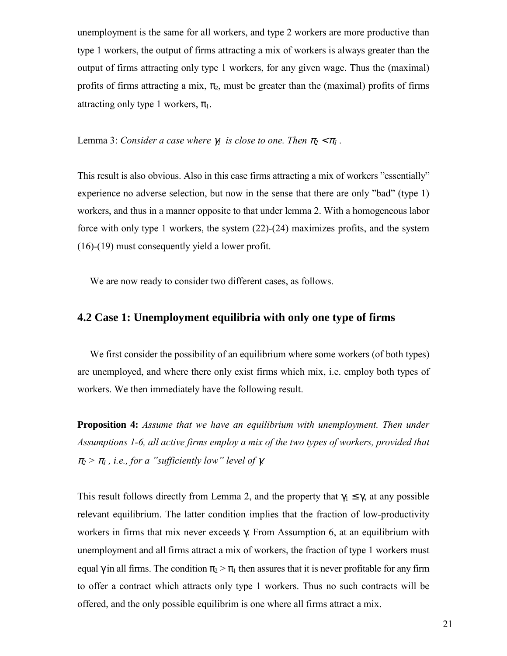unemployment is the same for all workers, and type 2 workers are more productive than type 1 workers, the output of firms attracting a mix of workers is always greater than the output of firms attracting only type 1 workers, for any given wage. Thus the (maximal) profits of firms attracting a mix,  $\pi_2$ , must be greater than the (maximal) profits of firms attracting only type 1 workers,  $\pi_1$ .

#### **<u>Lemma 3:</u>** Consider a case where  $\gamma_1$  is close to one. Then  $\pi_2 < \pi_1$ .

This result is also obvious. Also in this case firms attracting a mix of workers "essentially" experience no adverse selection, but now in the sense that there are only "bad" (type  $1$ ) workers, and thus in a manner opposite to that under lemma 2. With a homogeneous labor force with only type 1 workers, the system (22)-(24) maximizes profits, and the system (16)-(19) must consequently yield a lower profit.

We are now ready to consider two different cases, as follows.

### **4.2 Case 1: Unemployment equilibria with only one type of firms**

We first consider the possibility of an equilibrium where some workers (of both types) are unemployed, and where there only exist firms which mix, i.e. employ both types of workers. We then immediately have the following result.

**Proposition 4:** *Assume that we have an equilibrium with unemployment. Then under Assumptions 1-6, all active firms employ a mix of the two types of workers, provided that*  $\pi_2 > \pi_1$ , *i.e., for a "sufficiently low" level of γ.* 

This result follows directly from Lemma 2, and the property that  $\gamma_1 \leq \gamma$ , at any possible relevant equilibrium. The latter condition implies that the fraction of low-productivity workers in firms that mix never exceeds γ. From Assumption 6, at an equilibrium with unemployment and all firms attract a mix of workers, the fraction of type 1 workers must equal  $\gamma$  in all firms. The condition  $\pi_{2} > \pi_{1}$  then assures that it is never profitable for any firm to offer a contract which attracts only type 1 workers. Thus no such contracts will be offered, and the only possible equilibrim is one where all firms attract a mix.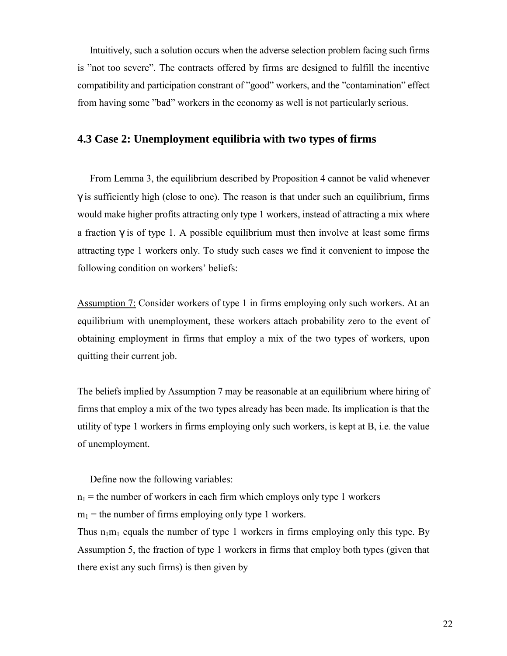Intuitively, such a solution occurs when the adverse selection problem facing such firms is "not too severe". The contracts offered by firms are designed to fulfill the incentive compatibility and participation constrant of "good" workers, and the "contamination" effect from having some "bad" workers in the economy as well is not particularly serious.

#### **4.3 Case 2: Unemployment equilibria with two types of firms**

 From Lemma 3, the equilibrium described by Proposition 4 cannot be valid whenever  $\gamma$  is sufficiently high (close to one). The reason is that under such an equilibrium, firms would make higher profits attracting only type 1 workers, instead of attracting a mix where a fraction  $\gamma$  is of type 1. A possible equilibrium must then involve at least some firms attracting type 1 workers only. To study such cases we find it convenient to impose the following condition on workers' beliefs:

Assumption 7: Consider workers of type 1 in firms employing only such workers. At an equilibrium with unemployment, these workers attach probability zero to the event of obtaining employment in firms that employ a mix of the two types of workers, upon quitting their current job.

The beliefs implied by Assumption 7 may be reasonable at an equilibrium where hiring of firms that employ a mix of the two types already has been made. Its implication is that the utility of type 1 workers in firms employing only such workers, is kept at B, i.e. the value of unemployment.

Define now the following variables:

 $n_1$  = the number of workers in each firm which employs only type 1 workers  $m_1$  = the number of firms employing only type 1 workers.

Thus  $n_1m_1$  equals the number of type 1 workers in firms employing only this type. By Assumption 5, the fraction of type 1 workers in firms that employ both types (given that there exist any such firms) is then given by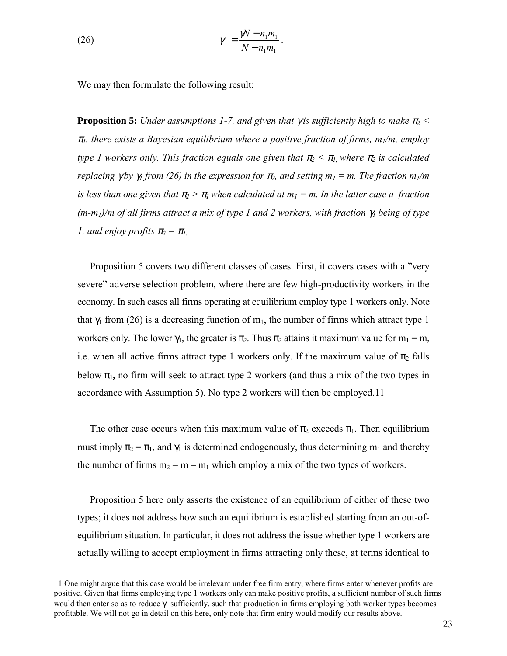(26) 
$$
\gamma_1 = \frac{\gamma N - n_1 m_1}{N - n_1 m_1}.
$$

We may then formulate the following result:

**Proposition 5:** *Under assumptions 1-7, and given that* γ *is sufficiently high to make* π*2 <* <sup>π</sup>*1, there exists a Bayesian equilibrium where a positive fraction of firms, m1/m, employ type 1* workers only. This fraction equals one given that  $\pi_2 < \pi_1$ , where  $\pi_2$  is calculated *replacing*  $\gamma$ *by*  $\gamma$ *<sub>1</sub> from (26) in the expression for*  $\pi$ *<sub>2</sub>, and setting*  $m_1 = m$ *. The fraction*  $m_1/m$ *is less than one given that*  $\pi_2 > \pi_1$ *when calculated at*  $m_1 = m$ *. In the latter case a fraction (m-m1)/m of all firms attract a mix of type 1 and 2 workers, with fraction* γ*1 being of type l*, and enjoy profits  $\pi_2 = \pi_1$ 

Proposition 5 covers two different classes of cases. First, it covers cases with a "very severe" adverse selection problem, where there are few high-productivity workers in the economy. In such cases all firms operating at equilibrium employ type 1 workers only. Note that  $\gamma_1$  from (26) is a decreasing function of m<sub>1</sub>, the number of firms which attract type 1 workers only. The lower  $\gamma_1$ , the greater is  $\pi_2$ . Thus  $\pi_2$  attains it maximum value for  $m_1 = m$ , i.e. when all active firms attract type 1 workers only. If the maximum value of  $\pi_2$  falls below  $\pi_1$ , no firm will seek to attract type 2 workers (and thus a mix of the two types in accordance with Assumption 5). No type 2 workers will then be employed.11

The other case occurs when this maximum value of  $\pi_2$  exceeds  $\pi_1$ . Then equilibrium must imply  $\pi_2 = \pi_1$ , and  $\gamma_1$  is determined endogenously, thus determining m<sub>1</sub> and thereby the number of firms  $m_2 = m - m_1$  which employ a mix of the two types of workers.

Proposition 5 here only asserts the existence of an equilibrium of either of these two types; it does not address how such an equilibrium is established starting from an out-ofequilibrium situation. In particular, it does not address the issue whether type 1 workers are actually willing to accept employment in firms attracting only these, at terms identical to

1

<sup>11</sup> One might argue that this case would be irrelevant under free firm entry, where firms enter whenever profits are positive. Given that firms employing type 1 workers only can make positive profits, a sufficient number of such firms would then enter so as to reduce  $\gamma_1$  sufficiently, such that production in firms employing both worker types becomes profitable. We will not go in detail on this here, only note that firm entry would modify our results above.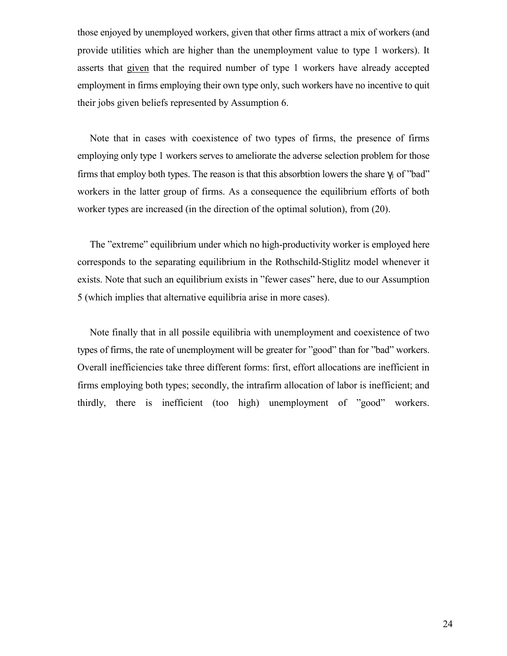those enjoyed by unemployed workers, given that other firms attract a mix of workers (and provide utilities which are higher than the unemployment value to type 1 workers). It asserts that given that the required number of type 1 workers have already accepted employment in firms employing their own type only, such workers have no incentive to quit their jobs given beliefs represented by Assumption 6.

 Note that in cases with coexistence of two types of firms, the presence of firms employing only type 1 workers serves to ameliorate the adverse selection problem for those firms that employ both types. The reason is that this absorbtion lowers the share  $\gamma_1$  of "bad" workers in the latter group of firms. As a consequence the equilibrium efforts of both worker types are increased (in the direction of the optimal solution), from (20).

The "extreme" equilibrium under which no high-productivity worker is employed here corresponds to the separating equilibrium in the Rothschild-Stiglitz model whenever it exists. Note that such an equilibrium exists in "fewer cases" here, due to our Assumption 5 (which implies that alternative equilibria arise in more cases).

 Note finally that in all possile equilibria with unemployment and coexistence of two types of firms, the rate of unemployment will be greater for "good" than for "bad" workers. Overall inefficiencies take three different forms: first, effort allocations are inefficient in firms employing both types; secondly, the intrafirm allocation of labor is inefficient; and thirdly, there is inefficient (too high) unemployment of "good" workers.